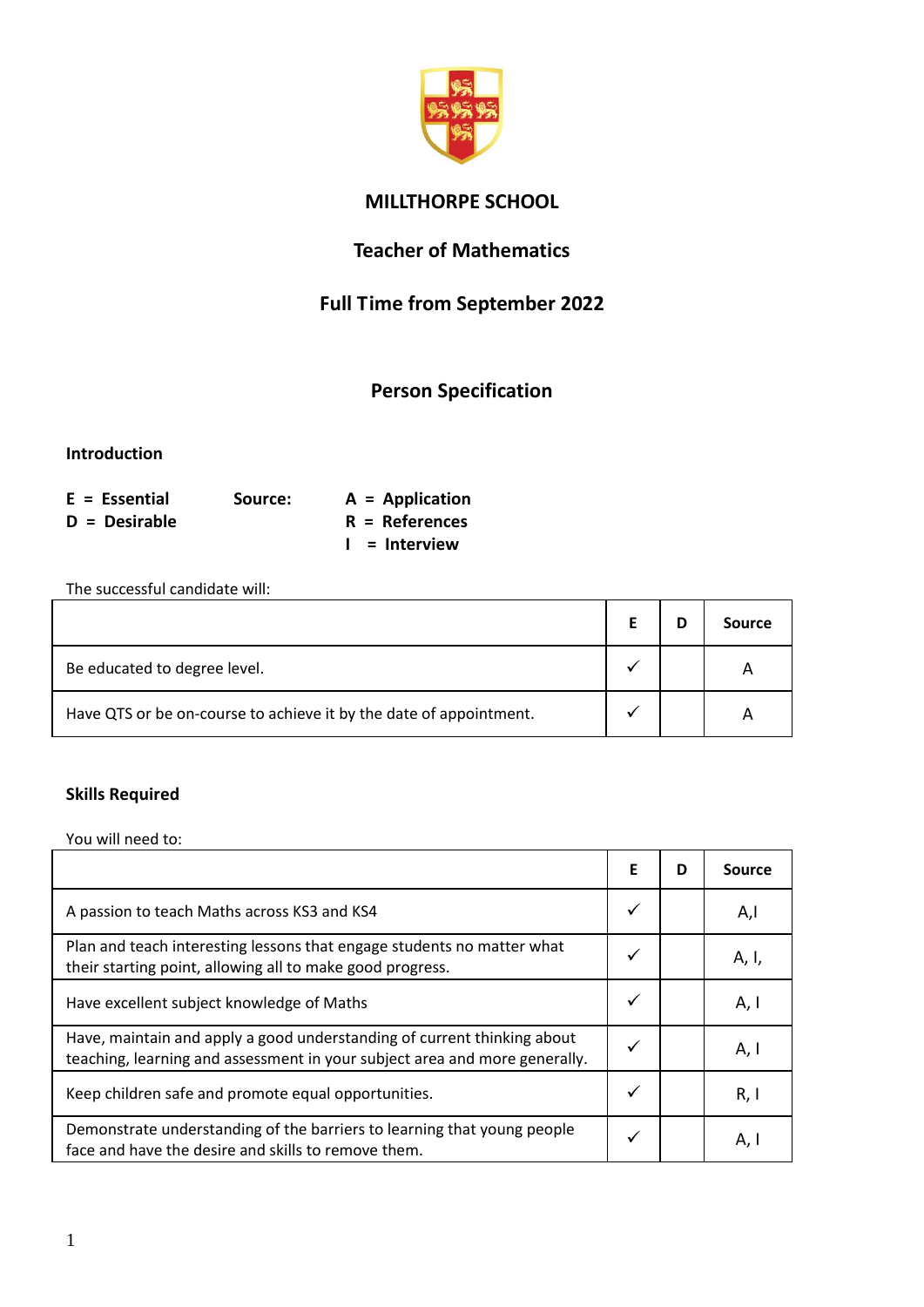

## **MILLTHORPE SCHOOL**

## **Teacher of Mathematics**

# **Full Time from September 2022**

# **Person Specification**

#### **Introduction**

| $E = E$ ssential | Source: | $A = Application$ |
|------------------|---------|-------------------|
| D = Desirable    |         | $R =$ References  |
|                  |         | $I =$ Interview   |

The successful candidate will:

|                                                                    |  | Source |
|--------------------------------------------------------------------|--|--------|
| Be educated to degree level.                                       |  | А      |
| Have QTS or be on-course to achieve it by the date of appointment. |  |        |

## **Skills Required**

You will need to:

|                                                                                                                                                       | Е | D | Source |
|-------------------------------------------------------------------------------------------------------------------------------------------------------|---|---|--------|
| A passion to teach Maths across KS3 and KS4                                                                                                           |   |   | A,l    |
| Plan and teach interesting lessons that engage students no matter what<br>their starting point, allowing all to make good progress.                   |   |   | A, I,  |
| Have excellent subject knowledge of Maths                                                                                                             |   |   | A, I   |
| Have, maintain and apply a good understanding of current thinking about<br>teaching, learning and assessment in your subject area and more generally. |   |   | A, I   |
| Keep children safe and promote equal opportunities.                                                                                                   |   |   | R, I   |
| Demonstrate understanding of the barriers to learning that young people<br>face and have the desire and skills to remove them.                        |   |   | A, I   |